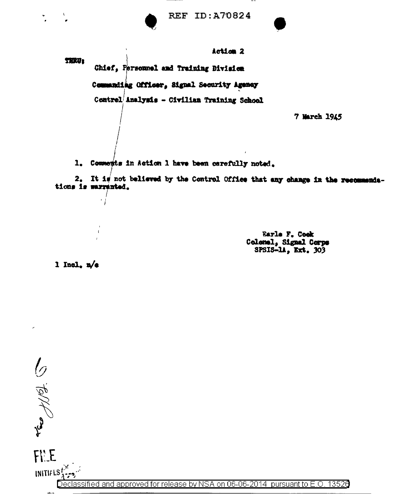

Action 2 TERU: Chief, Personnel and Training Division Commanding Officer, Signal Security Agency Control Analysis - Civilian Training School 7 March 1945

1. Comments in Action 1 have been carefully noted.

2. It is not believed by the Control Office that any change in the recommendations is marranted.

> Earle F. Cook Colonel, Signal Corps SPSIS-14, Ext. 303

1 Incl.  $\frac{1}{4}$ 

۰1

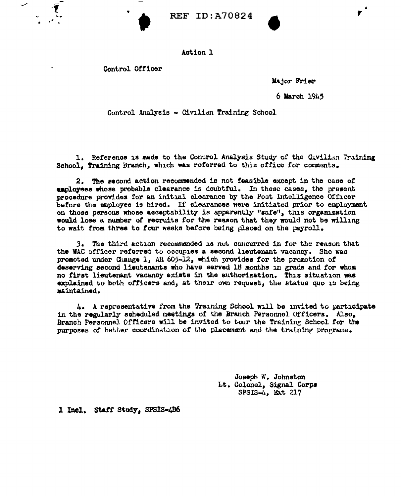## Action l

Control Officer

Major Frier

6 March l9k5

,.

Control Analysis - Civilian Training School

1. Reference is made to the Control Analysis Study of the Civilian Training School, Training Branch, which was referred to this office for comments.

2. The second action recommended is not feasible except in the case of employees whose probable clearance is doubtful. In these cases, the present procedure provides for an initial clearance by the Post Intelligence Officer before the employee is hired. If clearances were initiated prior to employment on those persons whose acceptability is apparently "safe", this organization would lose a number *ot* recruits for the reason that they would not. be willing to wait trom three to *tour* weeks before being placed on the payroll.

J. The third action ruoonirnended is not. concurred 1n for the reason that the WAC officer referred to occupies a second lieutenant vacancy. She was proaoted under Change l, AU 605-12, which provides tor the promotion of deserving second lieutenants who have served 18 months in grade and for whom no first lieutenant vacancy exists in the authorization. This situation was explained to both officers and, at their own request, the status quo is being maintained.

4. A representative from the Training School will be invited to participate in the regularly scheduled meetings of the Branch Personnel Officers. Also. Branch Personnel Officers will be invited to tour the Training School for the purposes of better coordination of the placement and the training programs.

> Joseph W. Johnston Lt. Colonel, Signal Corps  $SPSIS-4$ ,  $Ext 217$

1 Inol. Staff Study, SPSIS-4B6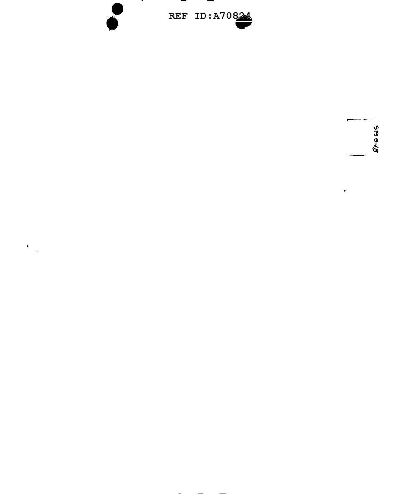

 $\sim$   $-$ 

 $\frac{1}{2} \left( \frac{1}{2} \right) \left( \frac{1}{2} \right) \left( \frac{1}{2} \right) \left( \frac{1}{2} \right) \left( \frac{1}{2} \right) \left( \frac{1}{2} \right) \left( \frac{1}{2} \right) \left( \frac{1}{2} \right) \left( \frac{1}{2} \right) \left( \frac{1}{2} \right) \left( \frac{1}{2} \right) \left( \frac{1}{2} \right) \left( \frac{1}{2} \right) \left( \frac{1}{2} \right) \left( \frac{1}{2} \right) \left( \frac{1}{2} \right) \left( \frac$ 

 $\mathbf{r}$ 

 $\frac{1}{2}$ 

 $\hat{\boldsymbol{\beta}}$ 

 $\sim$ 

 $\begin{array}{c}\n\downarrow \\
\downarrow \\
\mathcal{L} \downarrow \downarrow \downarrow \\
\mathcal{L} \downarrow \downarrow \downarrow \downarrow \downarrow\n\end{array}$ 

 $\ddot{\phantom{0}}$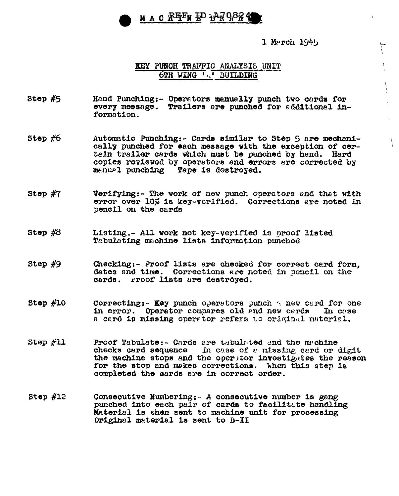

1 March 1945

 $\rightarrow$ I I I

 $\left\{ \right.$ 

## **KEY PUNCH TRAFFIC ANALYSIS UNIT 6TH WING '-' BUILDING**

- Step #5 Hand Punching:- Operatore manuall7 punch two cords for every message. Trailers are punched for additional information.
- Step  $#6$ Automatic Punching:- Cards similar to Step 5 are mechanically punched for each message with the exception or certain trailer cards which must be punched by hand. Hard copies reviewed by operators and errors are corrected by manual punching Tape is destroyed. Tape is destroyed.
- Step #7 Verifying:- The work of new punch operators and that with error over 10% is key-varified. Corrections are noted in pencil on the cards
- Step #8 Listing.- All work not key-verified is proof listed Tabulating machine lists information punched
- Step #9 Checking:- Proof lists are checked for correct card form, dates end time. Corrections are noted in pencil on the cards. rroof lists are destroyed.
- Step #10 Correcting:- Key punch operators punch  $\gamma$  new card for one in error. Operator compares old and new cards In case a cerd is missing operator refers to original material.
- Step #ll Proof Tabulate:- Cards are thoulated end the machine checks card sequence in case of  $v$  missing card or digit the machine stops and the operator investigates the reason for the stop and mekes corrections. When this step is completed the oards are in correct order.
- Step #12 Consecutive Numbering:- *A* consecutive number is gang punched into each pair of cards to facilitLte handling Material is then sent to machine unit for processing Original material is sent to B-II